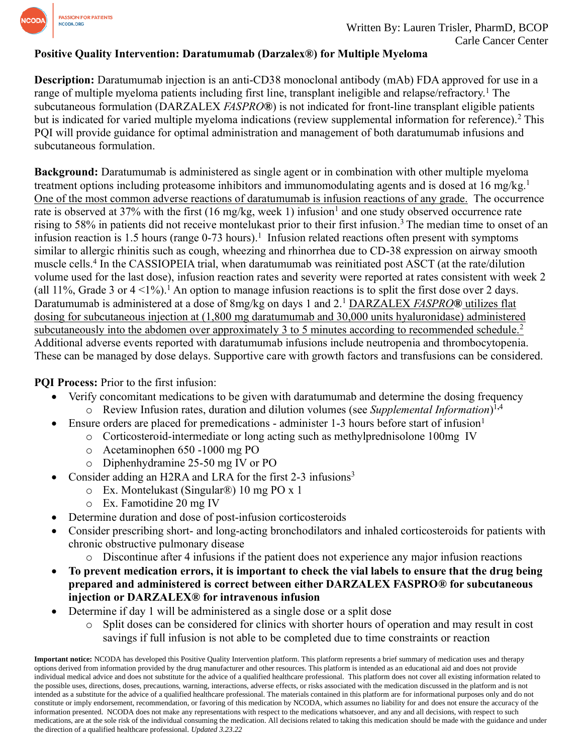

#### **Positive Quality Intervention: Daratumumab (Darzalex®) for Multiple Myeloma**

**Description:** Daratumumab injection is an anti-CD38 monoclonal antibody (mAb) FDA approved for use in a range of multiple myeloma patients including first line, transplant ineligible and relapse/refractory.<sup>1</sup> The subcutaneous formulation (DARZALEX *FASPRO***®**) is not indicated for front-line transplant eligible patients but is indicated for varied multiple myeloma indications (review supplemental information for reference). <sup>2</sup> This PQI will provide guidance for optimal administration and management of both daratumumab infusions and subcutaneous formulation.

**Background:** Daratumumab is administered as single agent or in combination with other multiple myeloma treatment options including proteasome inhibitors and immunomodulating agents and is dosed at 16 mg/kg.<sup>1</sup> One of the most common adverse reactions of daratumumab is infusion reactions of any grade. The occurrence rate is observed at 37% with the first (16 mg/kg, week 1) infusion<sup>1</sup> and one study observed occurrence rate rising to 58% in patients did not receive montelukast prior to their first infusion. <sup>3</sup>The median time to onset of an infusion reaction is 1.5 hours (range  $0-73$  hours).<sup>1</sup> Infusion related reactions often present with symptoms similar to allergic rhinitis such as cough, wheezing and rhinorrhea due to CD-38 expression on airway smooth muscle cells.<sup>4</sup> In the CASSIOPEIA trial, when daratumumab was reinitiated post ASCT (at the rate/dilution volume used for the last dose), infusion reaction rates and severity were reported at rates consistent with week 2 (all 11%, Grade 3 or  $4 < 1\%$ ). An option to manage infusion reactions is to split the first dose over 2 days. Daratumumab is administered at a dose of 8mg/kg on days 1 and 2.<sup>1</sup> DARZALEX *FASPRO***®** utilizes flat dosing for subcutaneous injection at (1,800 mg daratumumab and 30,000 units hyaluronidase) administered subcutaneously into the abdomen over approximately 3 to 5 minutes according to recommended schedule.<sup>2</sup> Additional adverse events reported with daratumumab infusions include neutropenia and thrombocytopenia. These can be managed by dose delays. Supportive care with growth factors and transfusions can be considered.

**PQI Process:** Prior to the first infusion:

- Verify concomitant medications to be given with daratumumab and determine the dosing frequency o Review Infusion rates, duration and dilution volumes (see *Supplemental Information*) 1**,**4
- Ensure orders are placed for premedications administer 1-3 hours before start of infusion<sup>1</sup>
	- o Corticosteroid-intermediate or long acting such as methylprednisolone 100mg IV
	- o Acetaminophen 650 -1000 mg PO
	- o Diphenhydramine 25-50 mg IV or PO
- Consider adding an H2RA and LRA for the first 2-3 infusions<sup>3</sup>
	- o Ex. Montelukast (Singular®) 10 mg PO x 1
	- o Ex. Famotidine 20 mg IV
- Determine duration and dose of post-infusion corticosteroids
- Consider prescribing short- and long-acting bronchodilators and inhaled corticosteroids for patients with chronic obstructive pulmonary disease
	- $\circ$  Discontinue after 4 infusions if the patient does not experience any major infusion reactions
- **To prevent medication errors, it is important to check the vial labels to ensure that the drug being prepared and administered is correct between either DARZALEX FASPRO® for subcutaneous injection or DARZALEX® for intravenous infusion**
- Determine if day 1 will be administered as a single dose or a split dose
	- o Split doses can be considered for clinics with shorter hours of operation and may result in cost savings if full infusion is not able to be completed due to time constraints or reaction

**Important notice:** NCODA has developed this Positive Quality Intervention platform. This platform represents a brief summary of medication uses and therapy options derived from information provided by the drug manufacturer and other resources. This platform is intended as an educational aid and does not provide individual medical advice and does not substitute for the advice of a qualified healthcare professional. This platform does not cover all existing information related to the possible uses, directions, doses, precautions, warning, interactions, adverse effects, or risks associated with the medication discussed in the platform and is not intended as a substitute for the advice of a qualified healthcare professional. The materials contained in this platform are for informational purposes only and do not constitute or imply endorsement, recommendation, or favoring of this medication by NCODA, which assumes no liability for and does not ensure the accuracy of the information presented. NCODA does not make any representations with respect to the medications whatsoever, and any and all decisions, with respect to such medications, are at the sole risk of the individual consuming the medication. All decisions related to taking this medication should be made with the guidance and under the direction of a qualified healthcare professional. *Updated 3.23.22*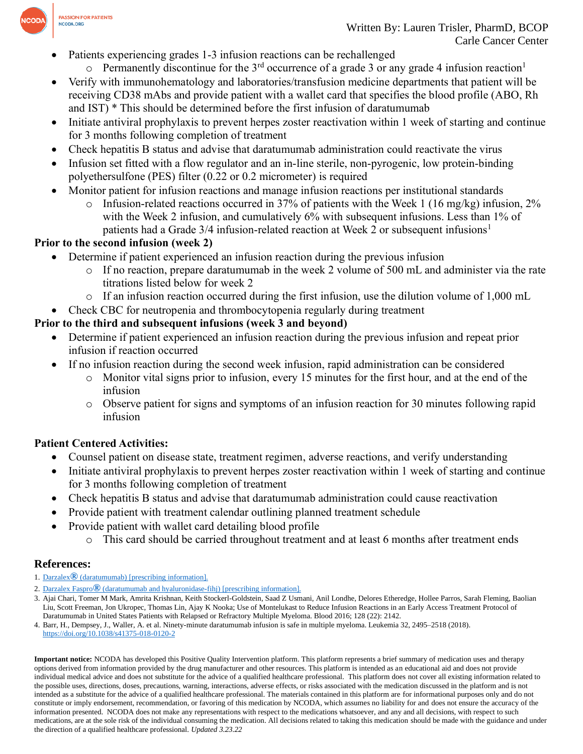

- Patients experiencing grades 1-3 infusion reactions can be rechallenged
	- $\circ$  Permanently discontinue for the 3<sup>rd</sup> occurrence of a grade 3 or any grade 4 infusion reaction<sup>1</sup>
- Verify with immunohematology and laboratories/transfusion medicine departments that patient will be receiving CD38 mAbs and provide patient with a wallet card that specifies the blood profile (ABO, Rh and IST) \* This should be determined before the first infusion of daratumumab
- Initiate antiviral prophylaxis to prevent herpes zoster reactivation within 1 week of starting and continue for 3 months following completion of treatment
- Check hepatitis B status and advise that daratumumab administration could reactivate the virus
- Infusion set fitted with a flow regulator and an in-line sterile, non-pyrogenic, low protein-binding polyethersulfone (PES) filter (0.22 or 0.2 micrometer) is required
- Monitor patient for infusion reactions and manage infusion reactions per institutional standards
	- $\circ$  Infusion-related reactions occurred in 37% of patients with the Week 1 (16 mg/kg) infusion, 2% with the Week 2 infusion, and cumulatively 6% with subsequent infusions. Less than 1% of patients had a Grade  $3/4$  infusion-related reaction at Week 2 or subsequent infusions<sup>1</sup>

## **Prior to the second infusion (week 2)**

- Determine if patient experienced an infusion reaction during the previous infusion
	- $\circ$  If no reaction, prepare daratumumab in the week 2 volume of 500 mL and administer via the rate titrations listed below for week 2
	- $\circ$  If an infusion reaction occurred during the first infusion, use the dilution volume of 1,000 mL
- Check CBC for neutropenia and thrombocytopenia regularly during treatment

# **Prior to the third and subsequent infusions (week 3 and beyond)**

- Determine if patient experienced an infusion reaction during the previous infusion and repeat prior infusion if reaction occurred
- If no infusion reaction during the second week infusion, rapid administration can be considered
	- $\circ$  Monitor vital signs prior to infusion, every 15 minutes for the first hour, and at the end of the infusion
	- o Observe patient for signs and symptoms of an infusion reaction for 30 minutes following rapid infusion

# **Patient Centered Activities:**

- Counsel patient on disease state, treatment regimen, adverse reactions, and verify understanding
- Initiate antiviral prophylaxis to prevent herpes zoster reactivation within 1 week of starting and continue for 3 months following completion of treatment
- Check hepatitis B status and advise that daratumumab administration could cause reactivation
- Provide patient with treatment calendar outlining planned treatment schedule
- Provide patient with wallet card detailing blood profile
	- o This card should be carried throughout treatment and at least 6 months after treatment ends

## **References:**

- 1. Darzalex**®** [\(daratumumab\)](https://www.accessdata.fda.gov/drugsatfda_docs/label/2016/761036s004lbl.pdf) [prescribing information].
- 2. Darzalex Faspro**®** (daratumumab and [hyaluronidase-fihj\)](https://www.accessdata.fda.gov/drugsatfda_docs/label/2020/761145s000lbl.pdf) [prescribing information].
- 3. Ajai Chari, Tomer M Mark, Amrita Krishnan, Keith Stockerl-Goldstein, Saad Z Usmani, Anil Londhe, Delores Etheredge, Hollee Parros, Sarah Fleming, Baolian Liu, Scott Freeman, Jon Ukropec, Thomas Lin, Ajay K Nooka; Use of Montelukast to Reduce Infusion Reactions in an Early Access Treatment Protocol of Daratumumab in United States Patients with Relapsed or Refractory Multiple Myeloma. Blood 2016; 128 (22): 2142.

**Important notice:** NCODA has developed this Positive Quality Intervention platform. This platform represents a brief summary of medication uses and therapy options derived from information provided by the drug manufacturer and other resources. This platform is intended as an educational aid and does not provide individual medical advice and does not substitute for the advice of a qualified healthcare professional. This platform does not cover all existing information related to the possible uses, directions, doses, precautions, warning, interactions, adverse effects, or risks associated with the medication discussed in the platform and is not intended as a substitute for the advice of a qualified healthcare professional. The materials contained in this platform are for informational purposes only and do not constitute or imply endorsement, recommendation, or favoring of this medication by NCODA, which assumes no liability for and does not ensure the accuracy of the information presented. NCODA does not make any representations with respect to the medications whatsoever, and any and all decisions, with respect to such medications, are at the sole risk of the individual consuming the medication. All decisions related to taking this medication should be made with the guidance and under the direction of a qualified healthcare professional. *Updated 3.23.22*

<sup>4.</sup> Barr, H., Dempsey, J., Waller, A. et al. Ninety-minute daratumumab infusion is safe in multiple myeloma. Leukemia 32, 2495–2518 (2018). <https://doi.org/10.1038/s41375-018-0120-2>